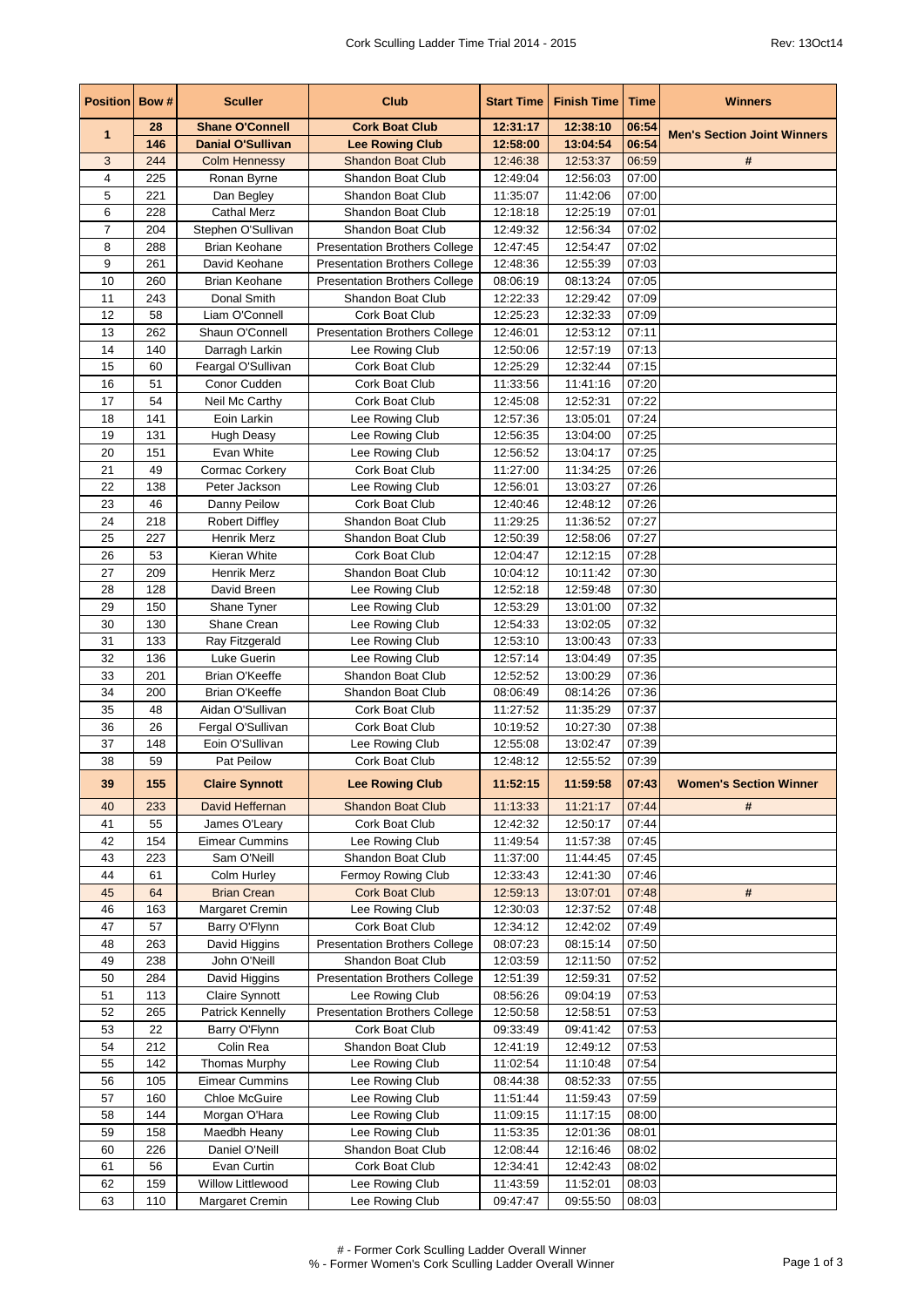| <b>Position Bow#</b> |            | <b>Sculler</b>                        | <b>Club</b>                                   | <b>Start Time</b>    | <b>Finish Time</b>   | <b>Time</b>    | <b>Winners</b>                     |
|----------------------|------------|---------------------------------------|-----------------------------------------------|----------------------|----------------------|----------------|------------------------------------|
| $\mathbf{1}$         | 28         | <b>Shane O'Connell</b>                | <b>Cork Boat Club</b>                         | 12:31:17             | 12:38:10             | 06:54          | <b>Men's Section Joint Winners</b> |
|                      | 146        | <b>Danial O'Sullivan</b>              | <b>Lee Rowing Club</b>                        | 12:58:00             | 13:04:54             | 06:54          |                                    |
| 3<br>4               | 244<br>225 | <b>Colm Hennessy</b><br>Ronan Byrne   | <b>Shandon Boat Club</b><br>Shandon Boat Club | 12:46:38<br>12:49:04 | 12:53:37<br>12:56:03 | 06:59<br>07:00 | #                                  |
| 5                    | 221        | Dan Begley                            | Shandon Boat Club                             | 11:35:07             | 11:42:06             | 07:00          |                                    |
| 6                    | 228        | <b>Cathal Merz</b>                    | Shandon Boat Club                             | 12:18:18             | 12:25:19             | 07:01          |                                    |
| $\overline{7}$       | 204        | Stephen O'Sullivan                    | Shandon Boat Club                             | 12:49:32             | 12:56:34             | 07:02          |                                    |
| 8                    | 288        | <b>Brian Keohane</b>                  | <b>Presentation Brothers College</b>          | 12:47:45             | 12:54:47             | 07:02          |                                    |
| 9                    | 261        | David Keohane                         | <b>Presentation Brothers College</b>          | 12:48:36             | 12:55:39             | 07:03          |                                    |
| 10                   | 260        | <b>Brian Keohane</b>                  | <b>Presentation Brothers College</b>          | 08:06:19             | 08:13:24             | 07:05          |                                    |
| 11                   | 243        | Donal Smith                           | Shandon Boat Club                             | 12:22:33             | 12:29:42             | 07:09          |                                    |
| 12                   | 58         | Liam O'Connell                        | Cork Boat Club                                | 12:25:23             | 12:32:33             | 07:09          |                                    |
| 13                   | 262        | Shaun O'Connell                       | <b>Presentation Brothers College</b>          | 12:46:01             | 12:53:12             | 07:11          |                                    |
| 14                   | 140        | Darragh Larkin                        | Lee Rowing Club                               | 12:50:06             | 12:57:19             | 07:13          |                                    |
| 15                   | 60         | Feargal O'Sullivan                    | Cork Boat Club                                | 12:25:29             | 12:32:44             | 07:15          |                                    |
| 16<br>17             | 51<br>54   | Conor Cudden                          | Cork Boat Club<br>Cork Boat Club              | 11:33:56             | 11:41:16<br>12:52:31 | 07:20<br>07:22 |                                    |
| 18                   | 141        | Neil Mc Carthy<br>Eoin Larkin         | Lee Rowing Club                               | 12:45:08<br>12:57:36 | 13:05:01             | 07:24          |                                    |
| 19                   | 131        | <b>Hugh Deasy</b>                     | Lee Rowing Club                               | 12:56:35             | 13:04:00             | 07:25          |                                    |
| 20                   | 151        | Evan White                            | Lee Rowing Club                               | 12:56:52             | 13:04:17             | 07:25          |                                    |
| 21                   | 49         | Cormac Corkery                        | Cork Boat Club                                | 11:27:00             | 11:34:25             | 07:26          |                                    |
| 22                   | 138        | Peter Jackson                         | Lee Rowing Club                               | 12:56:01             | 13:03:27             | 07:26          |                                    |
| 23                   | 46         | Danny Peilow                          | Cork Boat Club                                | 12:40:46             | 12:48:12             | 07:26          |                                    |
| 24                   | 218        | <b>Robert Diffley</b>                 | Shandon Boat Club                             | 11:29:25             | 11:36:52             | 07:27          |                                    |
| 25                   | 227        | Henrik Merz                           | Shandon Boat Club                             | 12:50:39             | 12:58:06             | 07:27          |                                    |
| 26                   | 53         | Kieran White                          | <b>Cork Boat Club</b>                         | 12:04:47             | 12:12:15             | 07:28          |                                    |
| 27                   | 209        | <b>Henrik Merz</b>                    | Shandon Boat Club                             | 10:04:12             | 10:11:42             | 07:30          |                                    |
| 28                   | 128        | David Breen                           | Lee Rowing Club                               | 12:52:18             | 12:59:48             | 07:30          |                                    |
| 29                   | 150        | Shane Tyner                           | Lee Rowing Club                               | 12:53:29             | 13:01:00             | 07:32          |                                    |
| 30                   | 130        | Shane Crean                           | Lee Rowing Club                               | 12:54:33             | 13:02:05             | 07:32          |                                    |
| 31<br>32             | 133<br>136 | Ray Fitzgerald<br>Luke Guerin         | Lee Rowing Club<br>Lee Rowing Club            | 12:53:10<br>12:57:14 | 13:00:43<br>13:04:49 | 07:33<br>07:35 |                                    |
| 33                   | 201        | Brian O'Keeffe                        | Shandon Boat Club                             | 12:52:52             | 13:00:29             | 07:36          |                                    |
| 34                   | 200        | Brian O'Keeffe                        | Shandon Boat Club                             | 08:06:49             | 08:14:26             | 07:36          |                                    |
| 35                   | 48         | Aidan O'Sullivan                      | Cork Boat Club                                | 11:27:52             | 11:35:29             | 07:37          |                                    |
| 36                   | 26         | Fergal O'Sullivan                     | Cork Boat Club                                | 10:19:52             | 10:27:30             | 07:38          |                                    |
| 37                   | 148        | Eoin O'Sullivan                       | Lee Rowing Club                               | 12:55:08             | 13:02:47             | 07:39          |                                    |
| 38                   | 59         | Pat Peilow                            | Cork Boat Club                                | 12:48:12             | 12:55:52             | 07:39          |                                    |
| 39                   | 155        | <b>Claire Synnott</b>                 | <b>Lee Rowing Club</b>                        | 11:52:15             | 11:59:58             | 07:43          | <b>Women's Section Winner</b>      |
| 40                   | 233        | David Heffernan                       | <b>Shandon Boat Club</b>                      | 11:13:33             | 11:21:17             | 07:44          | #                                  |
| 41                   | 55         | James O'Leary                         | Cork Boat Club                                | 12:42:32             | 12:50:17             | 07:44          |                                    |
| 42                   | 154        | <b>Eimear Cummins</b>                 | Lee Rowing Club                               | 11:49:54             | 11:57:38             | 07:45          |                                    |
| 43                   | 223        | Sam O'Neill                           | Shandon Boat Club                             | 11:37:00             | 11:44:45             | 07:45          |                                    |
| 44<br>45             | 61<br>64   | Colm Hurley                           | Fermoy Rowing Club                            | 12:33:43             | 12:41:30             | 07:46<br>07:48 | #                                  |
| 46                   | 163        | <b>Brian Crean</b><br>Margaret Cremin | <b>Cork Boat Club</b><br>Lee Rowing Club      | 12:59:13<br>12:30:03 | 13:07:01<br>12:37:52 | 07:48          |                                    |
| 47                   | 57         | Barry O'Flynn                         | Cork Boat Club                                | 12:34:12             | 12:42:02             | 07:49          |                                    |
| 48                   | 263        | David Higgins                         | <b>Presentation Brothers College</b>          | 08:07:23             | 08:15:14             | 07:50          |                                    |
| 49                   | 238        | John O'Neill                          | Shandon Boat Club                             | 12:03:59             | 12:11:50             | 07:52          |                                    |
| 50                   | 284        | David Higgins                         | <b>Presentation Brothers College</b>          | 12:51:39             | 12:59:31             | 07:52          |                                    |
| 51                   | 113        | Claire Synnott                        | Lee Rowing Club                               | 08:56:26             | 09:04:19             | 07:53          |                                    |
| 52                   | 265        | Patrick Kennelly                      | <b>Presentation Brothers College</b>          | 12:50:58             | 12:58:51             | 07:53          |                                    |
| 53                   | 22         | Barry O'Flynn                         | Cork Boat Club                                | 09:33:49             | 09:41:42             | 07:53          |                                    |
| 54                   | 212        | Colin Rea                             | Shandon Boat Club                             | 12:41:19             | 12:49:12             | 07:53          |                                    |
| 55                   | 142        | Thomas Murphy                         | Lee Rowing Club                               | 11:02:54             | 11:10:48             | 07:54          |                                    |
| 56                   | 105        | <b>Eimear Cummins</b>                 | Lee Rowing Club                               | 08:44:38             | 08:52:33             | 07:55          |                                    |
| 57<br>58             | 160<br>144 | Chloe McGuire<br>Morgan O'Hara        | Lee Rowing Club<br>Lee Rowing Club            | 11:51:44<br>11:09:15 | 11:59:43<br>11:17:15 | 07:59<br>08:00 |                                    |
| 59                   | 158        | Maedbh Heany                          | Lee Rowing Club                               | 11:53:35             | 12:01:36             | 08:01          |                                    |
| 60                   | 226        | Daniel O'Neill                        | Shandon Boat Club                             | 12:08:44             | 12:16:46             | 08:02          |                                    |
| 61                   | 56         | Evan Curtin                           | Cork Boat Club                                | 12:34:41             | 12:42:43             | 08:02          |                                    |
| 62                   | 159        | Willow Littlewood                     | Lee Rowing Club                               | 11:43:59             | 11:52:01             | 08:03          |                                    |
| 63                   | 110        | Margaret Cremin                       | Lee Rowing Club                               | 09:47:47             | 09:55:50             | 08:03          |                                    |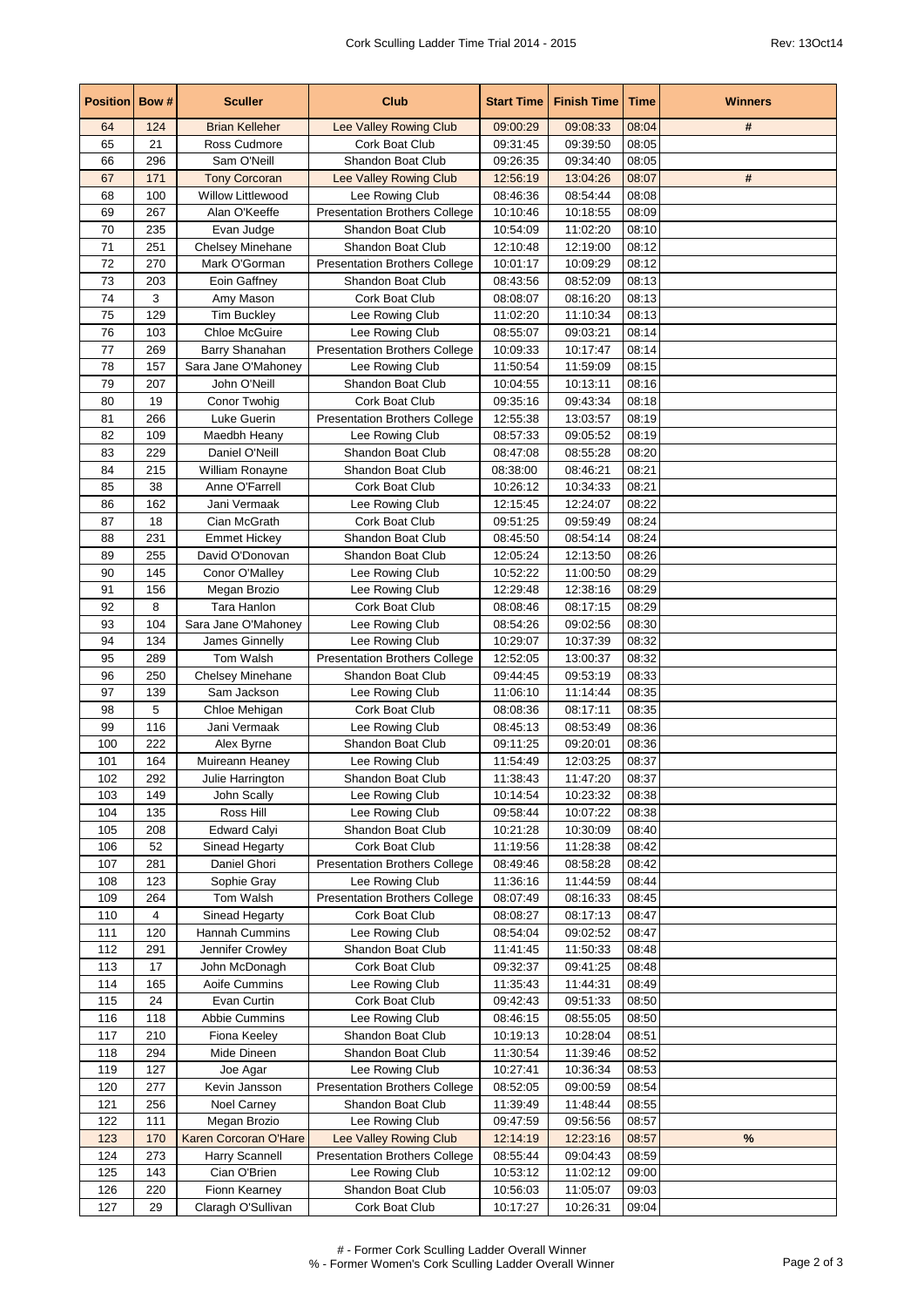| <b>Position Bow #</b> |            | <b>Sculler</b>                 | <b>Club</b>                          | <b>Start Time</b>    | <b>Finish Time</b>   | Time           | <b>Winners</b> |
|-----------------------|------------|--------------------------------|--------------------------------------|----------------------|----------------------|----------------|----------------|
| 64                    | 124        | <b>Brian Kelleher</b>          | Lee Valley Rowing Club               | 09:00:29             | 09:08:33             | 08:04          | #              |
| 65                    | 21         | Ross Cudmore                   | <b>Cork Boat Club</b>                | 09:31:45             | 09:39:50             | 08:05          |                |
| 66                    | 296        | Sam O'Neill                    | Shandon Boat Club                    | 09:26:35             | 09:34:40             | 08:05          |                |
| 67                    | 171        | <b>Tony Corcoran</b>           | Lee Valley Rowing Club               | 12:56:19             | 13:04:26             | 08:07          | #              |
| 68                    | 100        | <b>Willow Littlewood</b>       | Lee Rowing Club                      | 08:46:36             | 08:54:44             | 08:08          |                |
| 69                    | 267        | Alan O'Keeffe                  | <b>Presentation Brothers College</b> | 10:10:46             | 10:18:55             | 08:09          |                |
| 70                    | 235        | Evan Judge                     | Shandon Boat Club                    | 10:54:09             | 11:02:20             | 08:10          |                |
| 71                    | 251        | Chelsey Minehane               | Shandon Boat Club                    | 12:10:48             | 12:19:00             | 08:12          |                |
| 72                    | 270        | Mark O'Gorman                  | <b>Presentation Brothers College</b> | 10:01:17             | 10:09:29             | 08:12          |                |
| 73                    | 203        | Eoin Gaffney                   | Shandon Boat Club                    | 08:43:56             | 08:52:09             | 08:13          |                |
| 74                    | 3          | Amy Mason                      | Cork Boat Club                       | 08:08:07             | 08:16:20             | 08:13          |                |
| 75                    | 129        | <b>Tim Buckley</b>             | Lee Rowing Club                      | 11:02:20             | 11:10:34             | 08:13          |                |
| 76                    | 103        | Chloe McGuire                  | Lee Rowing Club                      | 08:55:07             | 09:03:21             | 08:14          |                |
| 77                    | 269        | Barry Shanahan                 | <b>Presentation Brothers College</b> | 10:09:33             | 10:17:47             | 08:14          |                |
| 78                    | 157        | Sara Jane O'Mahoney            | Lee Rowing Club                      | 11:50:54             | 11:59:09             | 08:15          |                |
| 79                    | 207        | John O'Neill                   | Shandon Boat Club                    | 10:04:55             | 10:13:11             | 08:16          |                |
| 80                    | 19         | Conor Twohig                   | Cork Boat Club                       | 09:35:16             | 09:43:34             | 08:18          |                |
| 81                    | 266        | Luke Guerin                    | <b>Presentation Brothers College</b> | 12:55:38             | 13:03:57             | 08:19          |                |
| 82                    | 109        | Maedbh Heany                   | Lee Rowing Club                      | 08:57:33             | 09:05:52             | 08:19          |                |
| 83                    | 229        | Daniel O'Neill                 | Shandon Boat Club                    | 08:47:08             | 08:55:28             | 08:20          |                |
| 84                    | 215        | William Ronayne                | Shandon Boat Club                    | 08:38:00             | 08:46:21             | 08:21          |                |
| 85                    | 38         | Anne O'Farrell                 | Cork Boat Club                       | 10:26:12             | 10:34:33             | 08:21          |                |
| 86                    | 162        | Jani Vermaak                   | Lee Rowing Club                      | 12:15:45             | 12:24:07             | 08:22          |                |
| 87                    | 18         | Cian McGrath                   | <b>Cork Boat Club</b>                | 09:51:25             | 09:59:49             | 08:24          |                |
| 88                    | 231        | <b>Emmet Hickey</b>            | Shandon Boat Club                    | 08:45:50             | 08:54:14             | 08:24          |                |
| 89                    | 255        | David O'Donovan                | Shandon Boat Club                    | 12:05:24             | 12:13:50             | 08:26          |                |
| 90<br>91              | 145<br>156 | Conor O'Malley<br>Megan Brozio | Lee Rowing Club                      | 10:52:22             | 11:00:50             | 08:29<br>08:29 |                |
| 92                    | 8          | Tara Hanlon                    | Lee Rowing Club                      | 12:29:48             | 12:38:16             | 08:29          |                |
| 93                    | 104        | Sara Jane O'Mahoney            | Cork Boat Club<br>Lee Rowing Club    | 08:08:46             | 08:17:15<br>09:02:56 | 08:30          |                |
| 94                    | 134        | James Ginnelly                 | Lee Rowing Club                      | 08:54:26             | 10:37:39             | 08:32          |                |
| 95                    | 289        | Tom Walsh                      | <b>Presentation Brothers College</b> | 10:29:07<br>12:52:05 | 13:00:37             | 08:32          |                |
| 96                    | 250        | <b>Chelsey Minehane</b>        | Shandon Boat Club                    | 09:44:45             | 09:53:19             | 08:33          |                |
| 97                    | 139        | Sam Jackson                    | Lee Rowing Club                      | 11:06:10             | 11:14:44             | 08:35          |                |
| 98                    | 5          | Chloe Mehigan                  | Cork Boat Club                       | 08:08:36             | 08:17:11             | 08:35          |                |
| 99                    | 116        | Jani Vermaak                   | Lee Rowing Club                      | 08:45:13             | 08:53:49             | 08:36          |                |
| 100                   | 222        | Alex Byrne                     | Shandon Boat Club                    | 09:11:25             | 09:20:01             | 08:36          |                |
| 101                   | 164        | Muireann Heaney                | Lee Rowing Club                      | 11:54:49             | 12:03:25             | 08:37          |                |
| 102                   | 292        | Julie Harrington               | Shandon Boat Club                    | 11:38:43             | 11:47:20             | 08:37          |                |
| 103                   | 149        | John Scally                    | Lee Rowing Club                      | 10:14:54             | 10:23:32             | 08:38          |                |
| 104                   | 135        | Ross Hill                      | Lee Rowing Club                      | 09:58:44             | 10:07:22             | 08:38          |                |
| 105                   | 208        | <b>Edward Calyi</b>            | Shandon Boat Club                    | 10:21:28             | 10:30:09             | 08:40          |                |
| 106                   | 52         | Sinead Hegarty                 | Cork Boat Club                       | 11:19:56             | 11:28:38             | 08:42          |                |
| 107                   | 281        | Daniel Ghori                   | <b>Presentation Brothers College</b> | 08:49:46             | 08:58:28             | 08:42          |                |
| 108                   | 123        | Sophie Gray                    | Lee Rowing Club                      | 11:36:16             | 11:44:59             | 08:44          |                |
| 109                   | 264        | Tom Walsh                      | <b>Presentation Brothers College</b> | 08:07:49             | 08:16:33             | 08:45          |                |
| 110                   | 4          | Sinead Hegarty                 | Cork Boat Club                       | 08:08:27             | 08:17:13             | 08:47          |                |
| 111                   | 120        | Hannah Cummins                 | Lee Rowing Club                      | 08:54:04             | 09:02:52             | 08:47          |                |
| 112                   | 291        | Jennifer Crowley               | Shandon Boat Club                    | 11:41:45             | 11:50:33             | 08:48          |                |
| 113                   | 17         | John McDonagh                  | Cork Boat Club                       | 09:32:37             | 09:41:25             | 08:48          |                |
| 114                   | 165        | Aoife Cummins                  | Lee Rowing Club                      | 11:35:43             | 11:44:31             | 08:49          |                |
| 115                   | 24         | Evan Curtin                    | Cork Boat Club                       | 09:42:43             | 09:51:33             | 08:50          |                |
| 116                   | 118        | Abbie Cummins                  | Lee Rowing Club                      | 08:46:15             | 08:55:05             | 08:50          |                |
| 117                   | 210        | Fiona Keeley                   | Shandon Boat Club                    | 10:19:13             | 10:28:04             | 08:51          |                |
| 118                   | 294        | Mide Dineen                    | Shandon Boat Club                    | 11:30:54             | 11:39:46             | 08:52          |                |
| 119                   | 127        | Joe Agar                       | Lee Rowing Club                      | 10:27:41             | 10:36:34             | 08:53          |                |
| 120                   | 277        | Kevin Jansson                  | <b>Presentation Brothers College</b> | 08:52:05             | 09:00:59             | 08:54          |                |
| 121                   | 256        | Noel Carney                    | Shandon Boat Club                    | 11:39:49             | 11:48:44             | 08:55          |                |
| 122                   | 111        | Megan Brozio                   | Lee Rowing Club                      | 09:47:59             | 09:56:56             | 08:57          |                |
| 123                   | 170        | Karen Corcoran O'Hare          | Lee Valley Rowing Club               | 12:14:19             | 12:23:16             | 08:57          | $\%$           |
| 124                   | 273        | Harry Scannell                 | <b>Presentation Brothers College</b> | 08:55:44             | 09:04:43             | 08:59          |                |
| 125                   | 143        | Cian O'Brien                   | Lee Rowing Club                      | 10:53:12             | 11:02:12             | 09:00          |                |
| 126                   | 220        | Fionn Kearney                  | Shandon Boat Club                    | 10:56:03             | 11:05:07             | 09:03          |                |
| 127                   | 29         | Claragh O'Sullivan             | Cork Boat Club                       | 10:17:27             | 10:26:31             | 09:04          |                |